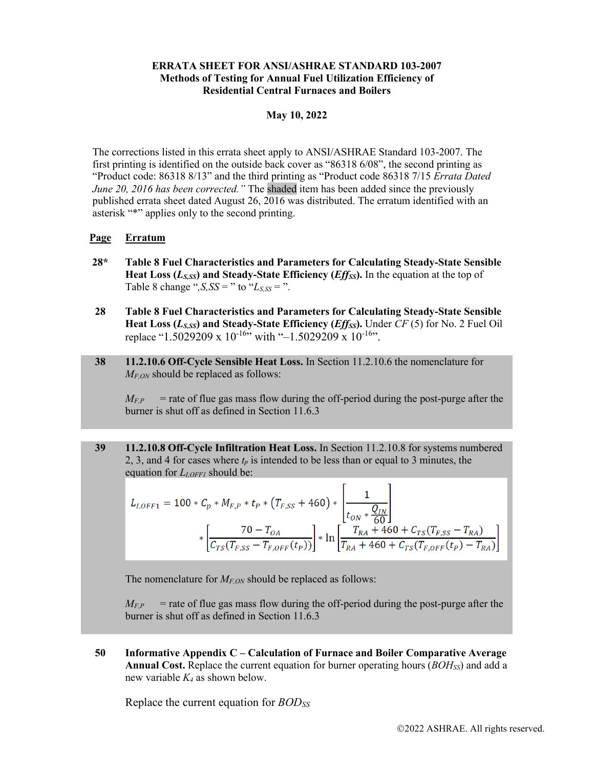## **ERRATA SHEET FOR ANSI/ASHRAE STANDARD 103-2007 Methods of Testing for Annual Fuel Utilization Efficiency of Residential Central Furnaces and Boilers**

## **May 10, 2022**

The corrections listed in this errata sheet apply to ANSI/ASHRAE Standard 103-2007. The first printing is identified on the outside back cover as "86318 6/08", the second printing as "Product code: 86318 8/13" and the third printing as "Product code 86318 7/15 *Errata Dated June 20, 2016 has been corrected.*" The shaded item has been added since the previously published errata sheet dated August 26, 2016 was distributed. The erratum identified with an asterisk "\*" applies only to the second printing.

## **Page Erratum**

- **28\* Table 8 Fuel Characteristics and Parameters for Calculating Steady-State Sensible**  Heat Loss ( $L_{S,SS}$ ) and Steady-State Efficiency (*Eff<sub>SS</sub>*). In the equation at the top of Table 8 change " $,S$ ,  $SS =$  " to " $L_{S,SS} =$  ".
- **28 Table 8 Fuel Characteristics and Parameters for Calculating Steady-State Sensible**  Heat Loss (*L<sub>S,SS</sub>*) and Steady-State Efficiency (*Effss*). Under *CF* (5) for No. 2 Fuel Oil replace "1.5029209 x 10<sup>-16"</sup> with "-1.5029209 x 10<sup>-16"</sup>.
- **38 11.2.10.6 Off-Cycle Sensible Heat Loss.** In Section 11.2.10.6 the nomenclature for *M<sub>F,ON</sub>* should be replaced as follows:

 $M_{FP}$  = rate of flue gas mass flow during the off-period during the post-purge after the burner is shut off as defined in Section 11.6.3

**39 11.2.10.8 Off-Cycle Infiltration Heat Loss.** In Section 11.2.10.8 for systems numbered 2, 3, and 4 for cases where  $t_p$  is intended to be less than or equal to 3 minutes, the equation for *L<sub>LOFF1</sub>* should be:

$$
L_{I,OFF1} = 100 * C_p * M_{F,P} * t_P * (T_{F,SS} + 460) * \left[ \frac{1}{t_{ON} * \frac{Q_{IN}}{60}} \right] * \left[ \frac{70 - T_{OA}}{C_{TS}(T_{F,SS} - T_{F,OFF}(t_P))} \right] * \ln \left[ \frac{T_{RA} + 460 + C_{TS}(T_{F,SS} - T_{RA})}{T_{RA} + 460 + C_{TS}(T_{F,OFF}(t_P) - T_{RA})} \right]
$$

The nomenclature for  $M_{EON}$  should be replaced as follows:

 $M_{F,P}$  = rate of flue gas mass flow during the off-period during the post-purge after the burner is shut off as defined in Section 11.6.3

**50 Informative Appendix C – Calculation of Furnace and Boiler Comparative Average Annual Cost.** Replace the current equation for burner operating hours (*BOHSS*) and add a new variable *K4* as shown below.

Replace the current equation for *BODSS*